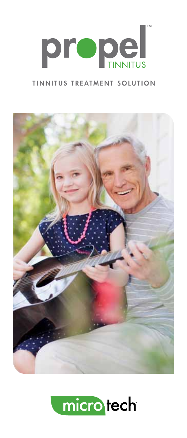

#### TINNITUS TREATMENT SOLUTION



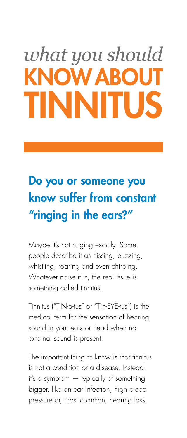# *what you should* **KNOW ABOU** TINNITUS

## Do you or someone you know suffer from constant "ringing in the ears?"

Maybe it's not ringing exactly. Some people describe it as hissing, buzzing, whistling, roaring and even chirping. Whatever noise it is, the real issue is something called tinnitus.

Tinnitus ("TIN-a-tus" or "Tin-EYE-tus") is the medical term for the sensation of hearing sound in your ears or head when no external sound is present.

The important thing to know is that tinnitus is not a condition or a disease. Instead, it's a symptom — typically of something bigger, like an ear infection, high blood pressure or, most common, hearing loss.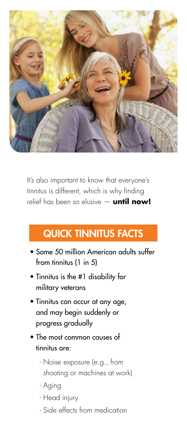

It's also important to know that everyone's tinnitus is different, which is why finding relief has been so elusive — **until now!**

#### Quick tinnitus facts

- Some 50 million American adults suffer from tinnitus (1 in 5)
- Tinnitus is the #1 disability for military veterans
- Tinnitus can occur at any age, and may begin suddenly or progress gradually
- The most common causes of tinnitus are:
	- Noise exposure (e.g., from shooting or machines at work)
	- Aging
	- Head injury
	- Side effects from medication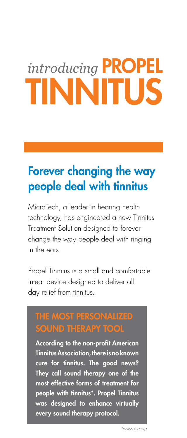# *introducing* PROPEL TINNITUS

### Forever changing the way people deal with tinnitus

MicroTech, a leader in hearing health technology, has engineered a new Tinnitus Treatment Solution designed to forever change the way people deal with ringing in the ears.

Propel Tinnitus is a small and comfortable in-ear device designed to deliver all day relief from tinnitus.

# SOUND THERAPY TOOL

According to the non-profit American Tinnitus Association, there is no known cure for tinnitus. The good news? They call sound therapy one of the most effective forms of treatment for people with tinnitus\*. Propel Tinnitus was designed to enhance virtually every sound therapy protocol.

*\*www.ata.org*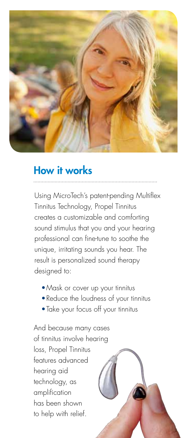

#### How it works

Using MicroTech's patent-pending Multiflex Tinnitus Technology, Propel Tinnitus creates a customizable and comforting sound stimulus that you and your hearing professional can fine-tune to soothe the unique, irritating sounds you hear. The result is personalized sound therapy designed to:

- •Mask or cover up your tinnitus
- •Reduce the loudness of your tinnitus
- •Take your focus off your tinnitus

And because many cases of tinnitus involve hearing loss, Propel Tinnitus features advanced hearing aid technology, as amplification has been shown to help with relief.

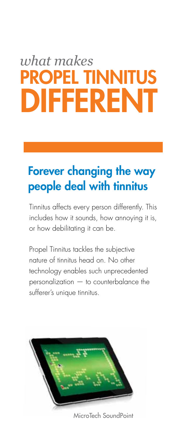# *what makes*  PROPEL TINNITUS DIFFERENT

### Forever changing the way people deal with tinnitus

Tinnitus affects every person differently. This includes how it sounds, how annoying it is, or how debilitating it can be.

Propel Tinnitus tackles the subjective nature of tinnitus head on. No other technology enables such unprecedented personalization — to counterbalance the sufferer's unique tinnitus.



MicroTech SoundPoint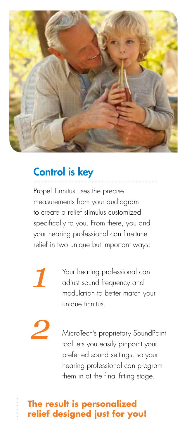

### Control is key

Propel Tinnitus uses the precise measurements from your audiogram to create a relief stimulus customized specifically to you. From there, you and your hearing professional can fine-tune relief in two unique but important ways:

*1*

*2*

Your hearing professional can adjust sound frequency and modulation to better match your unique tinnitus.

MicroTech's proprietary SoundPoint tool lets you easily pinpoint your preferred sound settings, so your hearing professional can program them in at the final fitting stage.

#### **The result is personalized relief designed just for you!**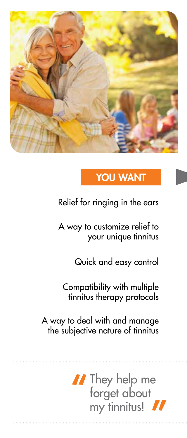

#### YOU WANT

Relief for ringing in the ears

A way to customize relief to your unique tinnitus

Quick and easy control

Compatibility with multiple tinnitus therapy protocols

A way to deal with and manage the subjective nature of tinnitus

> If They help me<br>forget about<br>my tinnitus! my tinnitus!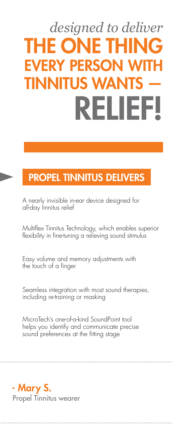# *designed to deliver* THE ONE THING **FVERY PERSON** TINNITUS WAN RELIEF!

#### PROPEL TINNITUS DELIVERS

A nearly invisible in-ear device designed for all-day tinnitus relief

Multiflex Tinnitus Technology, which enables superior flexibility in fine-tuning a relieving sound stimulus

Easy volume and memory adjustments with the touch of a finger

Seamless integration with most sound therapies, including re-training or masking

MicroTech's one-of-a-kind SoundPoint tool helps you identify and communicate precise sound preferences at the fitting stage

- Mary S.

Propel Tinnitus wearer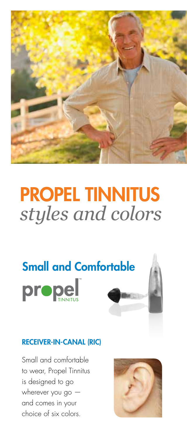

## PROPEL TINNITUS *styles and colors*



#### RECEIVER-IN-CANAL (RIC)

Small and comfortable to wear, Propel Tinnitus is designed to go wherever you go and comes in your choice of six colors.

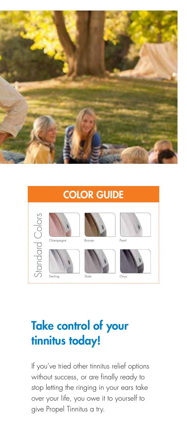

#### COLOR GUIDEStandard Colors Standard Colors Champagne Bronze Pearl Sterling Slate Onyx

## Take control of your tinnitus today!

If you've tried other tinnitus relief options without success, or are finally ready to stop letting the ringing in your ears take over your life, you owe it to yourself to give Propel Tinnitus a try.